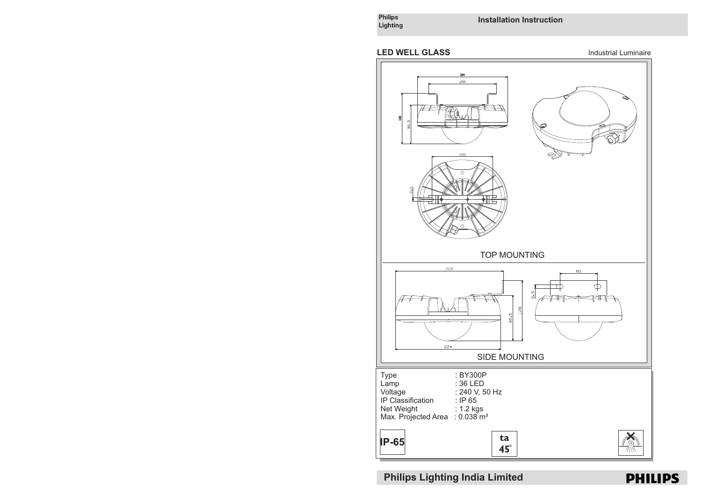Philips<br>Lighting

**Installation Instruction**



**Philips Lighting India Limited**

**ta**<br>45

Net Weight : 1.2 kgs Max. Projected Area : 0.038 m²

**IP-65**



X